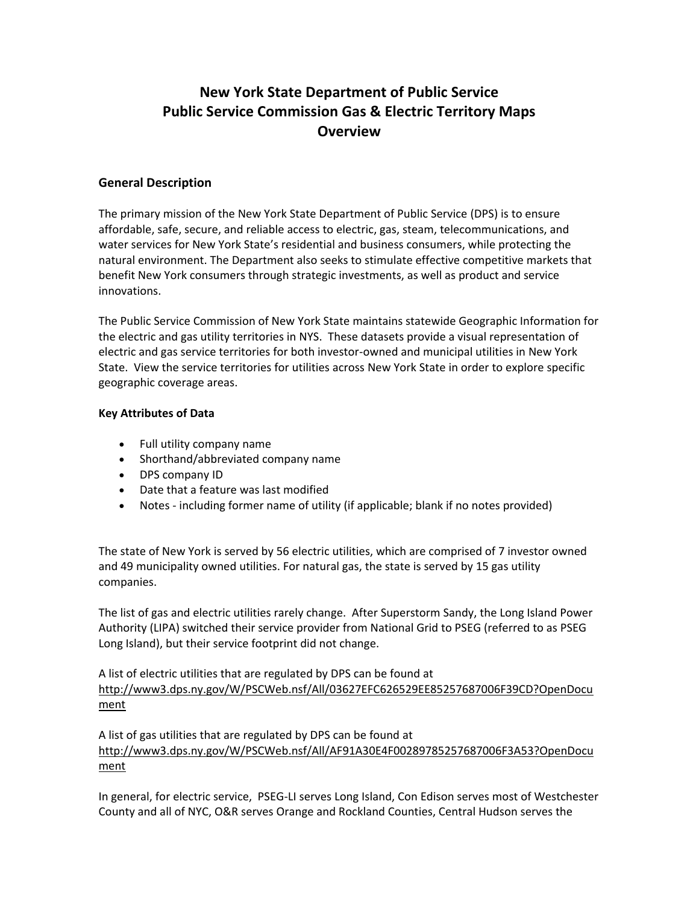# **New York State Department of Public Service Public Service Commission Gas & Electric Territory Maps Overview**

### **General Description**

The primary mission of the New York State Department of Public Service (DPS) is to ensure affordable, safe, secure, and reliable access to electric, gas, steam, telecommunications, and water services for New York State's residential and business consumers, while protecting the natural environment. The Department also seeks to stimulate effective competitive markets that benefit New York consumers through strategic investments, as well as product and service innovations.

The Public Service Commission of New York State maintains statewide Geographic Information for the electric and gas utility territories in NYS. These datasets provide a visual representation of electric and gas service territories for both investor-owned and municipal utilities in New York State. View the service territories for utilities across New York State in order to explore specific geographic coverage areas.

#### **Key Attributes of Data**

- Full utility company name
- Shorthand/abbreviated company name
- DPS company ID
- Date that a feature was last modified
- Notes including former name of utility (if applicable; blank if no notes provided)

The state of New York is served by 56 electric utilities, which are comprised of 7 investor owned and 49 municipality owned utilities. For natural gas, the state is served by 15 gas utility companies.

The list of gas and electric utilities rarely change. After Superstorm Sandy, the Long Island Power Authority (LIPA) switched their service provider from National Grid to PSEG (referred to as PSEG Long Island), but their service footprint did not change.

A list of electric utilities that are regulated by DPS can be found at [http://www3.dps.ny.gov/W/PSCWeb.nsf/All/03627EFC626529EE85257687006F39CD?OpenDocu](http://www3.dps.ny.gov/W/PSCWeb.nsf/All/03627EFC626529EE85257687006F39CD?OpenDocument) [ment](http://www3.dps.ny.gov/W/PSCWeb.nsf/All/03627EFC626529EE85257687006F39CD?OpenDocument)

A list of gas utilities that are regulated by DPS can be found at [http://www3.dps.ny.gov/W/PSCWeb.nsf/All/AF91A30E4F00289785257687006F3A53?OpenDocu](http://www3.dps.ny.gov/W/PSCWeb.nsf/All/AF91A30E4F00289785257687006F3A53?OpenDocument) [ment](http://www3.dps.ny.gov/W/PSCWeb.nsf/All/AF91A30E4F00289785257687006F3A53?OpenDocument)

In general, for electric service, PSEG-LI serves Long Island, Con Edison serves most of Westchester County and all of NYC, O&R serves Orange and Rockland Counties, Central Hudson serves the